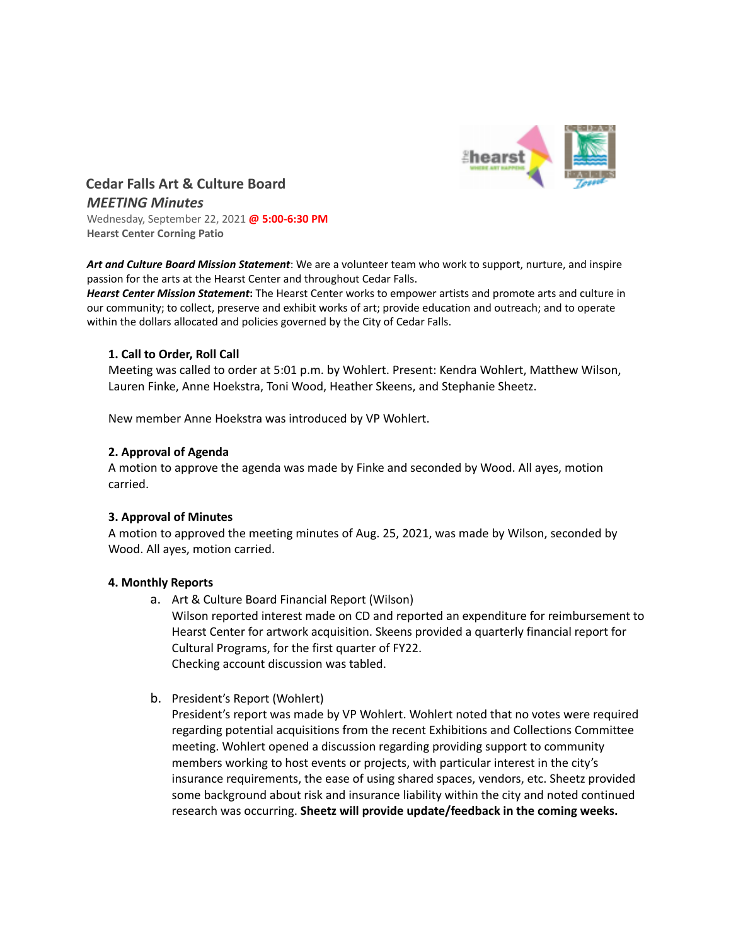

**Cedar Falls Art & Culture Board** *MEETING Minutes* Wednesday, September 22, 2021 **@ 5:00-6:30 PM Hearst Center Corning Patio**

*Art and Culture Board Mission Statement*: We are a volunteer team who work to support, nurture, and inspire passion for the arts at the Hearst Center and throughout Cedar Falls.

*Hearst Center Mission Statement***:** The Hearst Center works to empower artists and promote arts and culture in our community; to collect, preserve and exhibit works of art; provide education and outreach; and to operate within the dollars allocated and policies governed by the City of Cedar Falls.

# **1. Call to Order, Roll Call**

Meeting was called to order at 5:01 p.m. by Wohlert. Present: Kendra Wohlert, Matthew Wilson, Lauren Finke, Anne Hoekstra, Toni Wood, Heather Skeens, and Stephanie Sheetz.

New member Anne Hoekstra was introduced by VP Wohlert.

# **2. Approval of Agenda**

A motion to approve the agenda was made by Finke and seconded by Wood. All ayes, motion carried.

# **3. Approval of Minutes**

A motion to approved the meeting minutes of Aug. 25, 2021, was made by Wilson, seconded by Wood. All ayes, motion carried.

# **4. Monthly Reports**

- a. Art & Culture Board Financial Report (Wilson) Wilson reported interest made on CD and reported an expenditure for reimbursement to Hearst Center for artwork acquisition. Skeens provided a quarterly financial report for Cultural Programs, for the first quarter of FY22. Checking account discussion was tabled.
- b. President's Report (Wohlert)
	- President's report was made by VP Wohlert. Wohlert noted that no votes were required regarding potential acquisitions from the recent Exhibitions and Collections Committee meeting. Wohlert opened a discussion regarding providing support to community members working to host events or projects, with particular interest in the city's insurance requirements, the ease of using shared spaces, vendors, etc. Sheetz provided some background about risk and insurance liability within the city and noted continued research was occurring. **Sheetz will provide update/feedback in the coming weeks.**